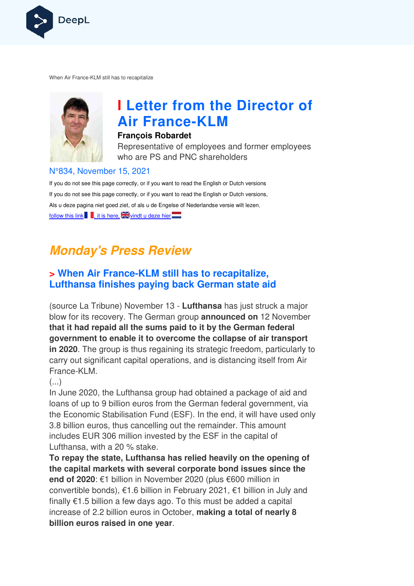

When Air France-KLM still has to recapitalize



# **I Letter from the Director of Air France France-KLM**

#### **François Robardet**

Representative of employees and former employees who are PS and PNC shareholders

#### N°834, November 15, 2021

If you do not see this page correctly, or if you want to read the English or Dutch versions If you do not see this page correctly, or if you want to read the English or Dutch versions, Als u deze pagina niet goed ziet, of als u de Engelse of Nederlandse versie wilt lezen, follow this link , it is here,  $\frac{1}{2}$  windt u deze hier

## **Monday's Press Review**

## **> When Air France-KLM still has to recapitalize, Lufthansa finishes paying back German state aid**

(source La Tribune) November 13 - **Lufthansa** has just struck a major blow for its recovery. The German group **announced on** 12 November **that it had repaid all the sums paid to it by the German federal government to enable it to overcome the collapse of air transport**  in 2020. The group is thus regaining its strategic freedom, particularly to carry out significant capital operations, and is distancing itself from Air France-KLM.

#### (...)

In June 2020, the Lufthansa group had obtained a package of aid and loans of up to 9 billion euros from the German federal government, via the Economic Stabilisation Fund (ESF). In the end, it will have used only 3.8 billion euros, thus cancelling out the remainder. This amount includes EUR 306 million invested by the ESF in the capital of Lufthansa, with a 20 % stake.

**To repay the state, Lufthansa has relied heavily on the opening of the capital markets with several corporate bond issues since the end of 2020**: €1 billion in November 2020 (plus €600 million in convertible bonds), €1.6 billion in February 2021, €1 billion in July and finally €1.5 billion a few days ago. To this must be added a capital increase of 2.2 billion euros in October, **making a total of nearly 8 billion euros raised in one year** .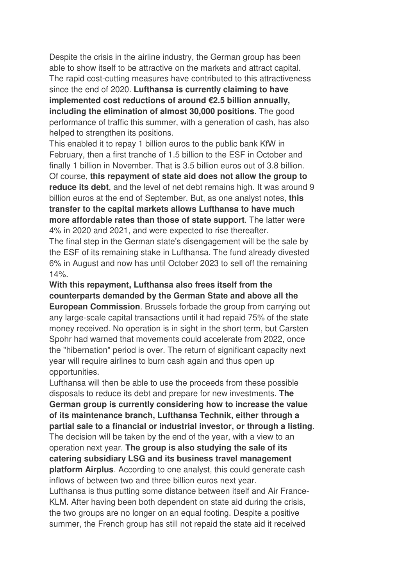Despite the crisis in the airline industry, the German group has been able to show itself to be attractive on the markets and attract capital. The rapid cost-cutting measures have contributed to this attractiveness since the end of 2020. **Lufthansa is currently claiming to have implemented cost reductions of around €2.5 billion annually, including the elimination of almost 30,000 positions**. The good performance of traffic this summer, with a generation of cash, has also helped to strengthen its positions.

This enabled it to repay 1 billion euros to the public bank KfW in February, then a first tranche of 1.5 billion to the ESF in October and finally 1 billion in November. That is 3.5 billion euros out of 3.8 billion. Of course, **this repayment of state aid does not allow the group to reduce its debt**, and the level of net debt remains high. It was around 9 billion euros at the end of September. But, as one analyst notes, **this transfer to the capital markets allows Lufthansa to have much more affordable rates than those of state support**. The latter were 4% in 2020 and 2021, and were expected to rise thereafter. The final step in the German state's disengagement will be the sale by the ESF of its remaining stake in Lufthansa. The fund already divested 6% in August and now has until October 2023 to sell off the remaining 14%.

**With this repayment, Lufthansa also frees itself from the counterparts demanded by the German State and above all the European Commission**. Brussels forbade the group from carrying out any large-scale capital transactions until it had repaid 75% of the state money received. No operation is in sight in the short term, but Carsten Spohr had warned that movements could accelerate from 2022, once the "hibernation" period is over. The return of significant capacity next year will require airlines to burn cash again and thus open up opportunities.

Lufthansa will then be able to use the proceeds from these possible disposals to reduce its debt and prepare for new investments. **The German group is currently considering how to increase the value of its maintenance branch, Lufthansa Technik, either through a partial sale to a financial or industrial investor, or through a listing**. The decision will be taken by the end of the year, with a view to an operation next year. **The group is also studying the sale of its catering subsidiary LSG and its business travel management platform Airplus**. According to one analyst, this could generate cash inflows of between two and three billion euros next year. Lufthansa is thus putting some distance between itself and Air France-KLM. After having been both dependent on state aid during the crisis, the two groups are no longer on an equal footing. Despite a positive summer, the French group has still not repaid the state aid it received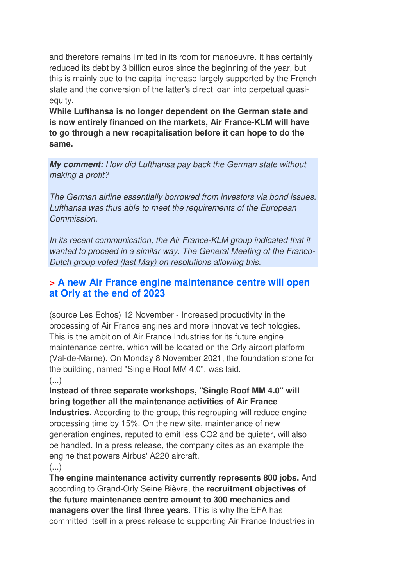and therefore remains limited in its room for manoeuvre. It has certainly reduced its debt by 3 billion euros since the beginning of the year, but this is mainly due to the capital increase largely supported by the French state and the conversion of the latter's direct loan into perpetual quasiequity.

**While Lufthansa is no longer dependent on the German state and is now entirely financed on the markets, Air France-KLM will have to go through a new recapitalisation before it can hope to do the same.**

**My comment:** How did Lufthansa pay back the German state without making a profit?

The German airline essentially borrowed from investors via bond issues. Lufthansa was thus able to meet the requirements of the European Commission.

In its recent communication, the Air France-KLM group indicated that it wanted to proceed in a similar way. The General Meeting of the Franco-Dutch group voted (last May) on resolutions allowing this.

### **> A new Air France engine maintenance centre will open at Orly at the end of 2023**

(source Les Echos) 12 November - Increased productivity in the processing of Air France engines and more innovative technologies. This is the ambition of Air France Industries for its future engine maintenance centre, which will be located on the Orly airport platform (Val-de-Marne). On Monday 8 November 2021, the foundation stone for the building, named "Single Roof MM 4.0", was laid. (...)

**Instead of three separate workshops, "Single Roof MM 4.0" will bring together all the maintenance activities of Air France Industries**. According to the group, this regrouping will reduce engine processing time by 15%. On the new site, maintenance of new generation engines, reputed to emit less CO2 and be quieter, will also be handled. In a press release, the company cites as an example the engine that powers Airbus' A220 aircraft.

(...)

**The engine maintenance activity currently represents 800 jobs.** And according to Grand-Orly Seine Bièvre, the **recruitment objectives of the future maintenance centre amount to 300 mechanics and managers over the first three years**. This is why the EFA has committed itself in a press release to supporting Air France Industries in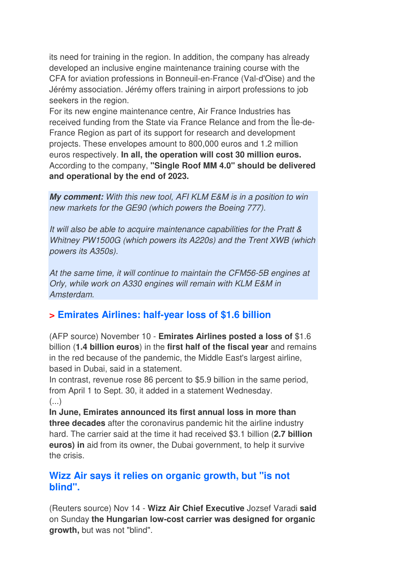its need for training in the region. In addition, the company has already developed an inclusive engine maintenance training course with the CFA for aviation professions in Bonneuil-en-France (Val-d'Oise) and the Jérémy association. Jérémy offers training in airport professions to job seekers in the region.

For its new engine maintenance centre, Air France Industries has received funding from the State via France Relance and from the Île-de-France Region as part of its support for research and development projects. These envelopes amount to 800,000 euros and 1.2 million euros respectively. **In all, the operation will cost 30 million euros.**  According to the company, **"Single Roof MM 4.0" should be delivered and operational by the end of 2023.** 

**My comment:** With this new tool, AFI KLM E&M is in a position to win new markets for the GE90 (which powers the Boeing 777).

It will also be able to acquire maintenance capabilities for the Pratt & Whitney PW1500G (which powers its A220s) and the Trent XWB (which powers its A350s).

At the same time, it will continue to maintain the CFM56-5B engines at Orly, while work on A330 engines will remain with KLM E&M in Amsterdam.

## **> Emirates Airlines: half-year loss of \$1.6 billion**

(AFP source) November 10 - **Emirates Airlines posted a loss of** \$1.6 billion (**1.4 billion euros**) in the **first half of the fiscal year** and remains in the red because of the pandemic, the Middle East's largest airline, based in Dubai, said in a statement.

In contrast, revenue rose 86 percent to \$5.9 billion in the same period, from April 1 to Sept. 30, it added in a statement Wednesday.  $\left( \ldots \right)$ 

**In June, Emirates announced its first annual loss in more than three decades** after the coronavirus pandemic hit the airline industry hard. The carrier said at the time it had received \$3.1 billion (**2.7 billion euros) in** aid from its owner, the Dubai government, to help it survive the crisis.

### **Wizz Air says it relies on organic growth, but "is not blind".**

(Reuters source) Nov 14 - **Wizz Air Chief Executive** Jozsef Varadi **said**  on Sunday **the Hungarian low-cost carrier was designed for organic growth,** but was not "blind".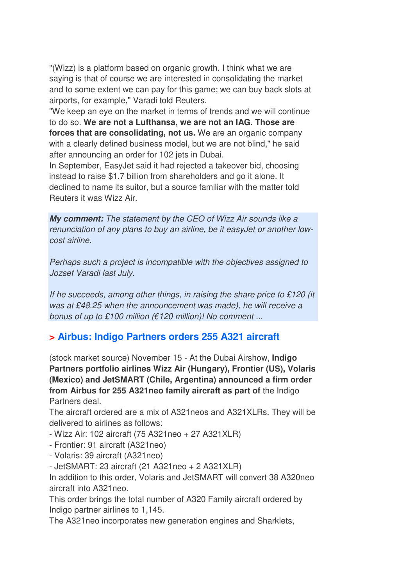"(Wizz) is a platform based on organic growth. I think what we are saying is that of course we are interested in consolidating the market and to some extent we can pay for this game; we can buy back slots at airports, for example," Varadi told Reuters.

"We keep an eye on the market in terms of trends and we will continue to do so. **We are not a Lufthansa, we are not an IAG. Those are forces that are consolidating, not us.** We are an organic company with a clearly defined business model, but we are not blind," he said after announcing an order for 102 jets in Dubai.

In September, EasyJet said it had rejected a takeover bid, choosing instead to raise \$1.7 billion from shareholders and go it alone. It declined to name its suitor, but a source familiar with the matter told Reuters it was Wizz Air.

**My comment:** The statement by the CEO of Wizz Air sounds like a renunciation of any plans to buy an airline, be it easyJet or another lowcost airline.

Perhaps such a project is incompatible with the objectives assigned to Jozsef Varadi last July.

If he succeeds, among other things, in raising the share price to  $£120$  (it was at £48.25 when the announcement was made), he will receive a bonus of up to £100 million ( $€120$  million)! No comment ...

## **> Airbus: Indigo Partners orders 255 A321 aircraft**

(stock market source) November 15 - At the Dubai Airshow, **Indigo Partners portfolio airlines Wizz Air (Hungary), Frontier (US), Volaris (Mexico) and JetSMART (Chile, Argentina) announced a firm order from Airbus for 255 A321neo family aircraft as part of** the Indigo Partners deal.

The aircraft ordered are a mix of A321neos and A321XLRs. They will be delivered to airlines as follows:

- Wizz Air: 102 aircraft (75 A321neo + 27 A321XLR)
- Frontier: 91 aircraft (A321neo)
- Volaris: 39 aircraft (A321neo)

- JetSMART: 23 aircraft (21 A321neo + 2 A321XLR)

In addition to this order, Volaris and JetSMART will convert 38 A320neo aircraft into A321neo.

This order brings the total number of A320 Family aircraft ordered by Indigo partner airlines to 1,145.

The A321neo incorporates new generation engines and Sharklets,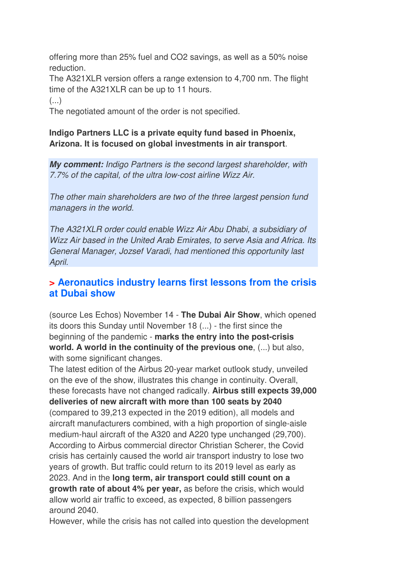offering more than 25% fuel and CO2 savings, as well as a 50% noise reduction.

The A321XLR version offers a range extension to 4,700 nm. The flight time of the A321XLR can be up to 11 hours.

 $\left(\ldots\right)$ 

The negotiated amount of the order is not specified.

#### **Indigo Partners LLC is a private equity fund based in Phoenix, Arizona. It is focused on global investments in air transport**.

**My comment:** Indigo Partners is the second largest shareholder, with 7.7% of the capital, of the ultra low-cost airline Wizz Air.

The other main shareholders are two of the three largest pension fund managers in the world.

The A321XLR order could enable Wizz Air Abu Dhabi, a subsidiary of Wizz Air based in the United Arab Emirates, to serve Asia and Africa. Its General Manager, Jozsef Varadi, had mentioned this opportunity last April.

### **> Aeronautics industry learns first lessons from the crisis at Dubai show**

(source Les Echos) November 14 - **The Dubai Air Show**, which opened its doors this Sunday until November 18 (...) - the first since the beginning of the pandemic - **marks the entry into the post-crisis world. A world in the continuity of the previous one**, (...) but also, with some significant changes.

The latest edition of the Airbus 20-year market outlook study, unveiled on the eve of the show, illustrates this change in continuity. Overall, these forecasts have not changed radically. **Airbus still expects 39,000 deliveries of new aircraft with more than 100 seats by 2040**  (compared to 39,213 expected in the 2019 edition), all models and aircraft manufacturers combined, with a high proportion of single-aisle medium-haul aircraft of the A320 and A220 type unchanged (29,700). According to Airbus commercial director Christian Scherer, the Covid crisis has certainly caused the world air transport industry to lose two years of growth. But traffic could return to its 2019 level as early as 2023. And in the **long term, air transport could still count on a growth rate of about 4% per year,** as before the crisis, which would allow world air traffic to exceed, as expected, 8 billion passengers around 2040.

However, while the crisis has not called into question the development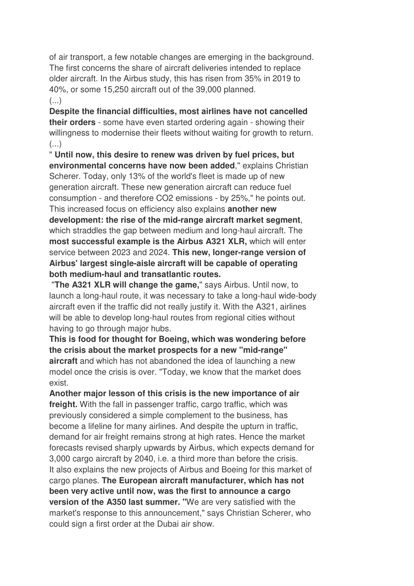of air transport, a few notable changes are emerging in the background. The first concerns the share of aircraft deliveries intended to replace older aircraft. In the Airbus study, this has risen from 35% in 2019 to 40%, or some 15,250 aircraft out of the 39,000 planned. (...)

**Despite the financial difficulties, most airlines have not cancelled their orders** - some have even started ordering again - showing their willingness to modernise their fleets without waiting for growth to return. (...)

" **Until now, this desire to renew was driven by fuel prices, but environmental concerns have now been added**," explains Christian Scherer. Today, only 13% of the world's fleet is made up of new generation aircraft. These new generation aircraft can reduce fuel consumption - and therefore CO2 emissions - by 25%," he points out. This increased focus on efficiency also explains **another new development: the rise of the mid-range aircraft market segment**, which straddles the gap between medium and long-haul aircraft. The **most successful example is the Airbus A321 XLR,** which will enter service between 2023 and 2024. **This new, longer-range version of Airbus' largest single-aisle aircraft will be capable of operating both medium-haul and transatlantic routes.** 

 "**The A321 XLR will change the game,**" says Airbus. Until now, to launch a long-haul route, it was necessary to take a long-haul wide-body aircraft even if the traffic did not really justify it. With the A321, airlines will be able to develop long-haul routes from regional cities without having to go through major hubs.

**This is food for thought for Boeing, which was wondering before the crisis about the market prospects for a new "mid-range" aircraft** and which has not abandoned the idea of launching a new model once the crisis is over. "Today, we know that the market does exist.

**Another major lesson of this crisis is the new importance of air freight.** With the fall in passenger traffic, cargo traffic, which was previously considered a simple complement to the business, has become a lifeline for many airlines. And despite the upturn in traffic, demand for air freight remains strong at high rates. Hence the market forecasts revised sharply upwards by Airbus, which expects demand for 3,000 cargo aircraft by 2040, i.e. a third more than before the crisis. It also explains the new projects of Airbus and Boeing for this market of cargo planes. **The European aircraft manufacturer, which has not been very active until now, was the first to announce a cargo version of the A350 last summer. "**We are very satisfied with the market's response to this announcement," says Christian Scherer, who could sign a first order at the Dubai air show.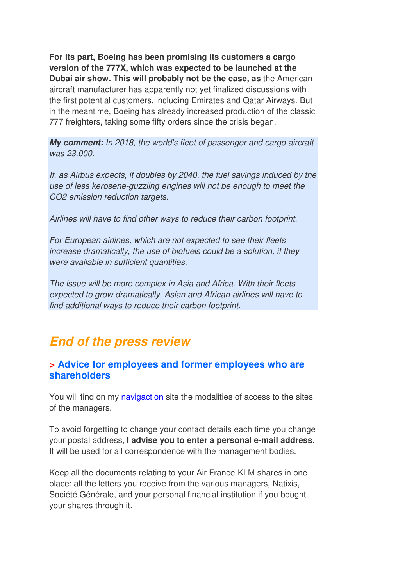**For its part, Boeing has been promising its customers a cargo version of the 777X, which was expected to be launched at the Dubai air show. This will probably not be the case, as** the American aircraft manufacturer has apparently not yet finalized discussions with the first potential customers, including Emirates and Qatar Airways. But in the meantime, Boeing has already increased production of the classic 777 freighters, taking some fifty orders since the crisis began.

**My comment:** In 2018, the world's fleet of passenger and cargo aircraft was 23,000.

If, as Airbus expects, it doubles by 2040, the fuel savings induced by the use of less kerosene-guzzling engines will not be enough to meet the CO2 emission reduction targets.

Airlines will have to find other ways to reduce their carbon footprint.

For European airlines, which are not expected to see their fleets increase dramatically, the use of biofuels could be a solution, if they were available in sufficient quantities.

The issue will be more complex in Asia and Africa. With their fleets expected to grow dramatically, Asian and African airlines will have to find additional ways to reduce their carbon footprint.

## **End of the press review**

#### **> Advice for employees and former employees who are shareholders**

You will find on my navigaction site the modalities of access to the sites of the managers.

To avoid forgetting to change your contact details each time you change your postal address, **I advise you to enter a personal e-mail address**. It will be used for all correspondence with the management bodies.

Keep all the documents relating to your Air France-KLM shares in one place: all the letters you receive from the various managers, Natixis, Société Générale, and your personal financial institution if you bought your shares through it.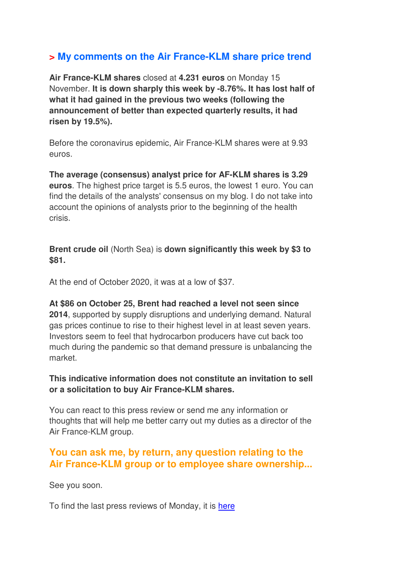## **> My comments on the Air France-KLM share price trend**

**Air France-KLM shares** closed at **4.231 euros** on Monday 15 November. **It is down sharply this week by -8.76%. It has lost half of what it had gained in the previous two weeks (following the announcement of better than expected quarterly results, it had risen by 19.5%).**

Before the coronavirus epidemic, Air France-KLM shares were at 9.93 euros.

**The average (consensus) analyst price for AF-KLM shares is 3.29 euros**. The highest price target is 5.5 euros, the lowest 1 euro. You can find the details of the analysts' consensus on my blog. I do not take into account the opinions of analysts prior to the beginning of the health crisis.

**Brent crude oil** (North Sea) is **down significantly this week by \$3 to \$81.** 

At the end of October 2020, it was at a low of \$37.

#### **At \$86 on October 25, Brent had reached a level not seen since**

**2014**, supported by supply disruptions and underlying demand. Natural gas prices continue to rise to their highest level in at least seven years. Investors seem to feel that hydrocarbon producers have cut back too much during the pandemic so that demand pressure is unbalancing the market.

#### **This indicative information does not constitute an invitation to sell or a solicitation to buy Air France-KLM shares.**

You can react to this press review or send me any information or thoughts that will help me better carry out my duties as a director of the Air France-KLM group.

### **You can ask me, by return, any question relating to the Air France-KLM group or to employee share ownership...**

See you soon.

To find the last press reviews of Monday, it is here